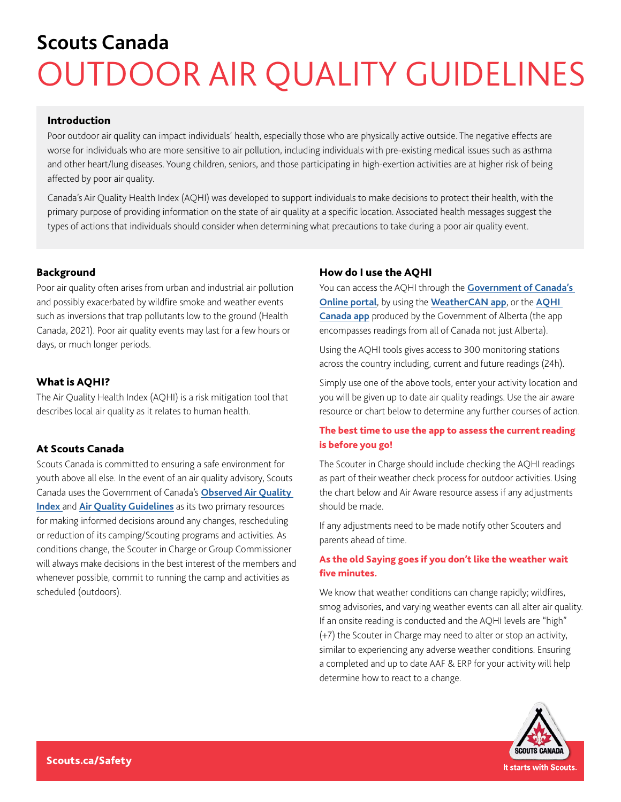# **Scouts Canada** OUTDOOR AIR QUALITY GUIDELINES

#### Introduction

Poor outdoor air quality can impact individuals' health, especially those who are physically active outside. The negative effects are worse for individuals who are more sensitive to air pollution, including individuals with pre-existing medical issues such as asthma and other heart/lung diseases. Young children, seniors, and those participating in high-exertion activities are at higher risk of being affected by poor air quality.

Canada's Air Quality Health Index (AQHI) was developed to support individuals to make decisions to protect their health, with the primary purpose of providing information on the state of air quality at a specific location. Associated health messages suggest the types of actions that individuals should consider when determining what precautions to take during a poor air quality event.

#### Background

Poor air quality often arises from urban and industrial air pollution and possibly exacerbated by wildfire smoke and weather events such as inversions that trap pollutants low to the ground (Health Canada, 2021). Poor air quality events may last for a few hours or days, or much longer periods.

#### What is AQHI?

The Air Quality Health Index (AQHI) is a risk mitigation tool that describes local air quality as it relates to human health.

#### At Scouts Canada

Scouts Canada is committed to ensuring a safe environment for youth above all else. In the event of an air quality advisory, Scouts Canada uses the Government of Canada's **[Observed Air Quality](https://weather.gc.ca/airquality/pages/provincial_summary/bc_e.html)  [Index](https://weather.gc.ca/airquality/pages/provincial_summary/bc_e.html)** and **[Air Quality Guidelines](https://weather.gc.ca/airquality/healthmessage_e.html)** as its two primary resources for making informed decisions around any changes, rescheduling or reduction of its camping/Scouting programs and activities. As conditions change, the Scouter in Charge or Group Commissioner will always make decisions in the best interest of the members and whenever possible, commit to running the camp and activities as scheduled (outdoors).

#### How do I use the AQHI

You can access the AQHI through the **[Government of Canada's](https://www.canada.ca/en/environment-climate-change/services/air-quality-health-index/about.html)  [Online portal](https://www.canada.ca/en/environment-climate-change/services/air-quality-health-index/about.html)**, by using the **[WeatherCAN app](https://www.canada.ca/en/environment-climate-change/services/weather-general-tools-resources/weathercan.html)**, or the **[AQHI](https://www.alberta.ca/about-the-air-quality-health-index.aspx)  [Canada app](https://www.alberta.ca/about-the-air-quality-health-index.aspx)** produced by the Government of Alberta (the app encompasses readings from all of Canada not just Alberta).

Using the AQHI tools gives access to 300 monitoring stations across the country including, current and future readings (24h).

Simply use one of the above tools, enter your activity location and you will be given up to date air quality readings. Use the air aware resource or chart below to determine any further courses of action.

#### The best time to use the app to assess the current reading is before you go!

The Scouter in Charge should include checking the AQHI readings as part of their weather check process for outdoor activities. Using the chart below and Air Aware resource assess if any adjustments should be made.

If any adjustments need to be made notify other Scouters and parents ahead of time.

### As the old Saying goes if you don't like the weather wait five minutes.

We know that weather conditions can change rapidly; wildfires, smog advisories, and varying weather events can all alter air quality. If an onsite reading is conducted and the AQHI levels are "high" (+7) the Scouter in Charge may need to alter or stop an activity, similar to experiencing any adverse weather conditions. Ensuring a completed and up to date AAF & ERP for your activity will help determine how to react to a change.